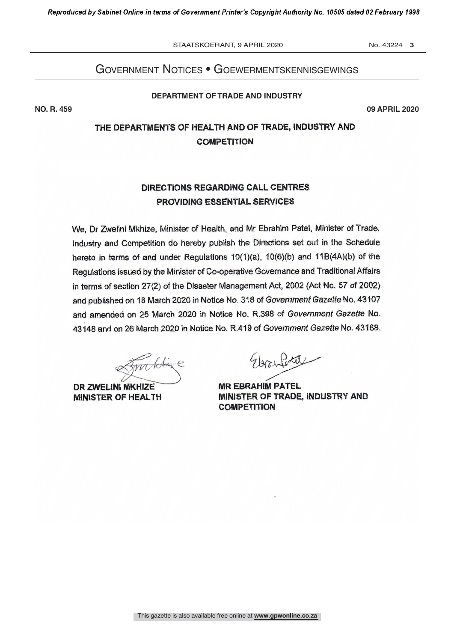STAATSKOERANT, 9 APRIL 2020 No. 43224 3

### Government notices • GoewermentskennisGewinGs

**DEPARTMENT OF TRADE AND INDUSTRY**

**NO. R. 459 09 APRIL 2020**

# THE DEPARTMENTS OF HEALTH AND OF TRADE, INDUSTRY AND<br>COMPETITION

## DIRECTIONS REGARDING CALL CENTRES<br>PROVIDING ESSENTIAL SERVICES PROVIDING ESSENTIAL SERVICES

We, Dr Zwelini Mkhize, Minister of Health, and Mr Ebrahim Patel, Minister of Trade,<br>Industry and Competition do hereby publish the Directions set out in the Schedule hereto in terms of and under Regulations  $10(1)(a)$ ,  $10(6)(b)$  and  $11B(4A)(b)$  of the Regulations issued by the Minister of Co-operative Governance and Traditional Affairs in terms of section 27(2) of the Disaster Management Act, 2002 (Act No. 57 of 2002) and published on 18 March 2020 in Notice No. 318 of Government Gazette No. 43107 and amended on 25 March 2020 in Notice No. R.398 of Government Gazette No. and amended on 25 March 2020 in Notice No. R.398 of Government Gazette No.<br>43448 and an 36 March 3030 in Notice No. P.449 of Government Gazette No. 43468 43148 and on 26 March 2020 in Notice No. R.419 of Government Gazette No. 43168.

White

DR ZWELINI MKHIZE MINISTER OF HEALTH

Glazyforte

**MR EBRAHIM PATEL** MINISTER OF TRADE, INDUSTRY AND **COMPETITION**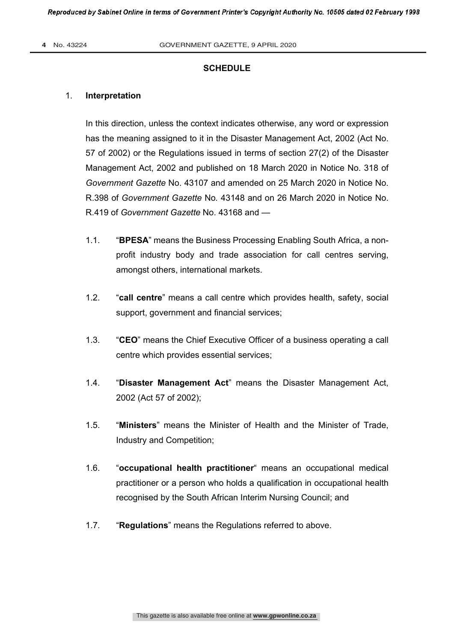#### **SCHEDULE**

#### 1. **Interpretation**

In this direction, unless the context indicates otherwise, any word or expression has the meaning assigned to it in the Disaster Management Act, 2002 (Act No. 57 of 2002) or the Regulations issued in terms of section 27(2) of the Disaster Management Act, 2002 and published on 18 March 2020 in Notice No. 318 of *Government Gazette* No. 43107 and amended on 25 March 2020 in Notice No. R.398 of *Government Gazette* No*.* 43148 and on 26 March 2020 in Notice No. R.419 of *Government Gazette* No. 43168 and —

- 1.1. "**BPESA**" means the Business Processing Enabling South Africa, a nonprofit industry body and trade association for call centres serving, amongst others, international markets.
- 1.2. "**call centre**" means a call centre which provides health, safety, social support, government and financial services;
- 1.3. "**CEO**" means the Chief Executive Officer of a business operating a call centre which provides essential services;
- 1.4. "**Disaster Management Act**" means the Disaster Management Act, 2002 (Act 57 of 2002);
- 1.5. "**Ministers**" means the Minister of Health and the Minister of Trade, Industry and Competition;
- 1.6. "**occupational health practitioner**" means an occupational medical practitioner or a person who holds a qualification in occupational health recognised by the South African Interim Nursing Council; and
- 1.7. "**Regulations**" means the Regulations referred to above.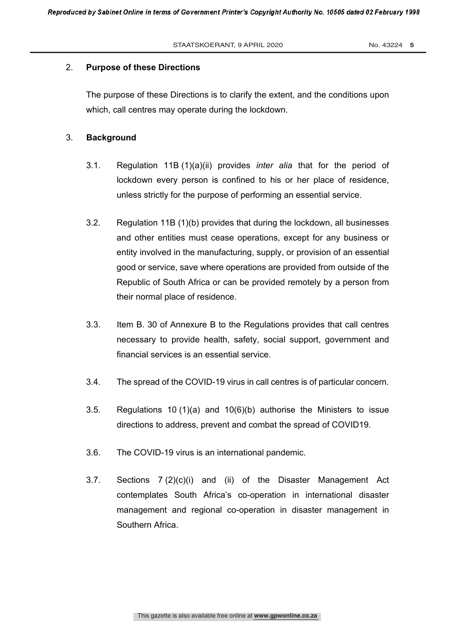#### 2. **Purpose of these Directions**

The purpose of these Directions is to clarify the extent, and the conditions upon which, call centres may operate during the lockdown.

#### 3. **Background**

- 3.1. Regulation 11B (1)(a)(ii) provides *inter alia* that for the period of lockdown every person is confined to his or her place of residence, unless strictly for the purpose of performing an essential service.
- 3.2. Regulation 11B (1)(b) provides that during the lockdown, all businesses and other entities must cease operations, except for any business or entity involved in the manufacturing, supply, or provision of an essential good or service, save where operations are provided from outside of the Republic of South Africa or can be provided remotely by a person from their normal place of residence.
- 3.3. Item B. 30 of Annexure B to the Regulations provides that call centres necessary to provide health, safety, social support, government and financial services is an essential service.
- 3.4. The spread of the COVID-19 virus in call centres is of particular concern.
- 3.5. Regulations 10 (1)(a) and 10(6)(b) authorise the Ministers to issue directions to address, prevent and combat the spread of COVID19.
- 3.6. The COVID-19 virus is an international pandemic.
- 3.7. Sections 7 (2)(c)(i) and (ii) of the Disaster Management Act contemplates South Africa's co-operation in international disaster management and regional co-operation in disaster management in Southern Africa.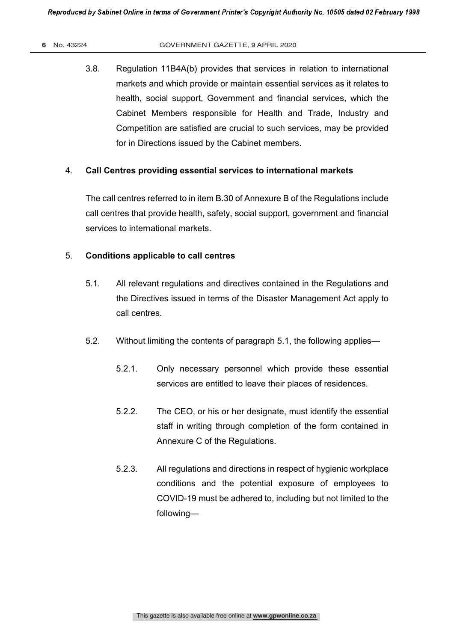3.8. Regulation 11B4A(b) provides that services in relation to international markets and which provide or maintain essential services as it relates to health, social support, Government and financial services, which the Cabinet Members responsible for Health and Trade, Industry and Competition are satisfied are crucial to such services, may be provided for in Directions issued by the Cabinet members.

#### 4. **Call Centres providing essential services to international markets**

The call centres referred to in item B.30 of Annexure B of the Regulations include call centres that provide health, safety, social support, government and financial services to international markets.

#### 5. **Conditions applicable to call centres**

- 5.1. All relevant regulations and directives contained in the Regulations and the Directives issued in terms of the Disaster Management Act apply to call centres.
- 5.2. Without limiting the contents of paragraph 5.1, the following applies—
	- 5.2.1. Only necessary personnel which provide these essential services are entitled to leave their places of residences.
	- 5.2.2. The CEO, or his or her designate, must identify the essential staff in writing through completion of the form contained in Annexure C of the Regulations.
	- 5.2.3. All regulations and directions in respect of hygienic workplace conditions and the potential exposure of employees to COVID-19 must be adhered to, including but not limited to the following—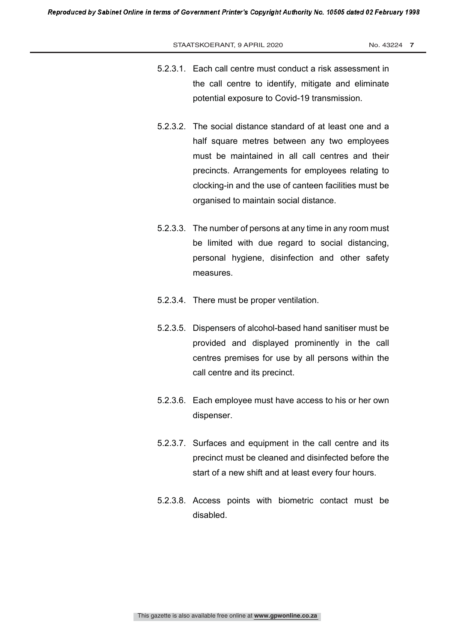#### STAATSKOERANT, 9 APRIL 2020 No. 43224 7

- 5.2.3.1. Each call centre must conduct a risk assessment in the call centre to identify, mitigate and eliminate potential exposure to Covid-19 transmission.
- 5.2.3.2. The social distance standard of at least one and a half square metres between any two employees must be maintained in all call centres and their precincts. Arrangements for employees relating to clocking-in and the use of canteen facilities must be organised to maintain social distance.
- 5.2.3.3. The number of persons at any time in any room must be limited with due regard to social distancing, personal hygiene, disinfection and other safety measures.
- 5.2.3.4. There must be proper ventilation.
- 5.2.3.5. Dispensers of alcohol-based hand sanitiser must be provided and displayed prominently in the call centres premises for use by all persons within the call centre and its precinct.
- 5.2.3.6. Each employee must have access to his or her own dispenser.
- 5.2.3.7. Surfaces and equipment in the call centre and its precinct must be cleaned and disinfected before the start of a new shift and at least every four hours.
- 5.2.3.8. Access points with biometric contact must be disabled.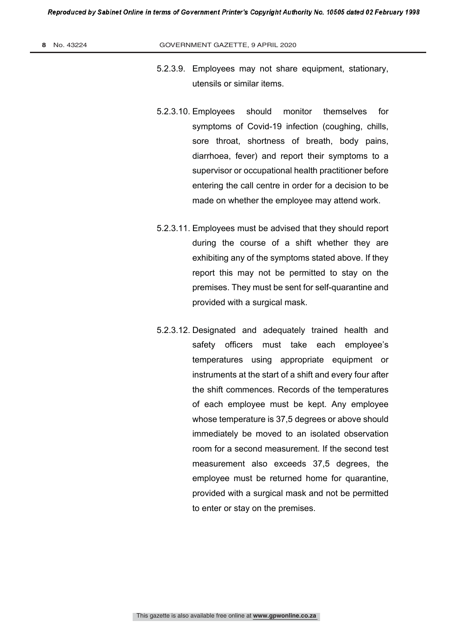- 5.2.3.9. Employees may not share equipment, stationary, utensils or similar items.
- 5.2.3.10. Employees should monitor themselves for symptoms of Covid-19 infection (coughing, chills, sore throat, shortness of breath, body pains, diarrhoea, fever) and report their symptoms to a supervisor or occupational health practitioner before entering the call centre in order for a decision to be made on whether the employee may attend work.
- 5.2.3.11. Employees must be advised that they should report during the course of a shift whether they are exhibiting any of the symptoms stated above. If they report this may not be permitted to stay on the premises. They must be sent for self-quarantine and provided with a surgical mask.
- 5.2.3.12. Designated and adequately trained health and safety officers must take each employee's temperatures using appropriate equipment or instruments at the start of a shift and every four after the shift commences. Records of the temperatures of each employee must be kept. Any employee whose temperature is 37,5 degrees or above should immediately be moved to an isolated observation room for a second measurement. If the second test measurement also exceeds 37,5 degrees, the employee must be returned home for quarantine, provided with a surgical mask and not be permitted to enter or stay on the premises.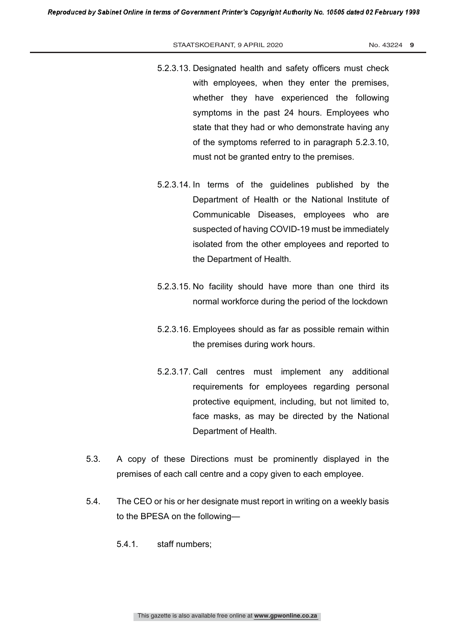#### STAATSKOERANT, 9 APRIL 2020 No. 43224 9

- 5.2.3.13. Designated health and safety officers must check with employees, when they enter the premises, whether they have experienced the following symptoms in the past 24 hours. Employees who state that they had or who demonstrate having any of the symptoms referred to in paragraph 5.2.3.10, must not be granted entry to the premises.
- 5.2.3.14. In terms of the guidelines published by the Department of Health or the National Institute of Communicable Diseases, employees who are suspected of having COVID-19 must be immediately isolated from the other employees and reported to the Department of Health.
- 5.2.3.15. No facility should have more than one third its normal workforce during the period of the lockdown
- 5.2.3.16. Employees should as far as possible remain within the premises during work hours.
- 5.2.3.17. Call centres must implement any additional requirements for employees regarding personal protective equipment, including, but not limited to, face masks, as may be directed by the National Department of Health.
- 5.3. A copy of these Directions must be prominently displayed in the premises of each call centre and a copy given to each employee.
- 5.4. The CEO or his or her designate must report in writing on a weekly basis to the BPESA on the following—
	- 5.4.1. staff numbers;